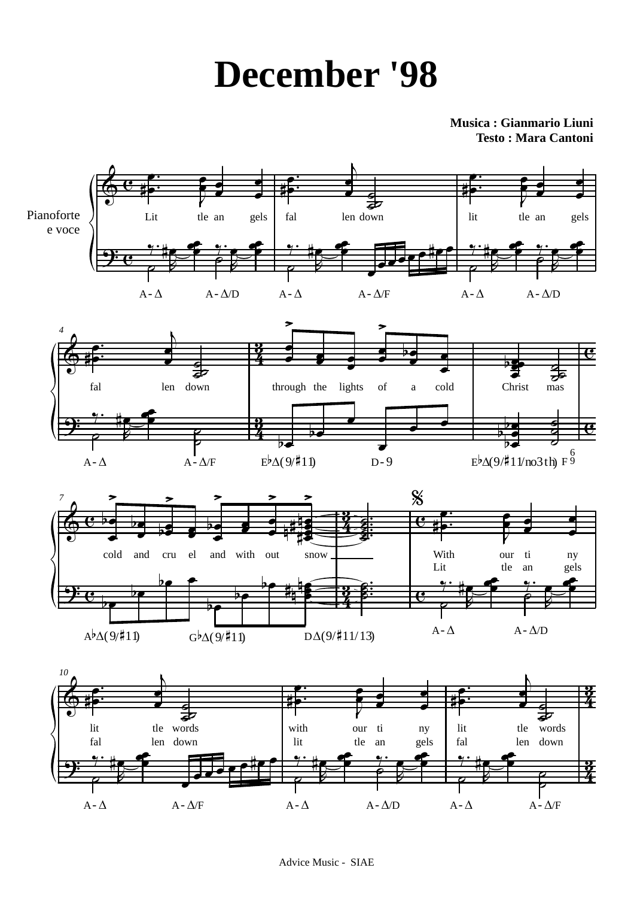## **December '98**

Musica: Gianmario Liuni **Testo: Mara Cantoni**